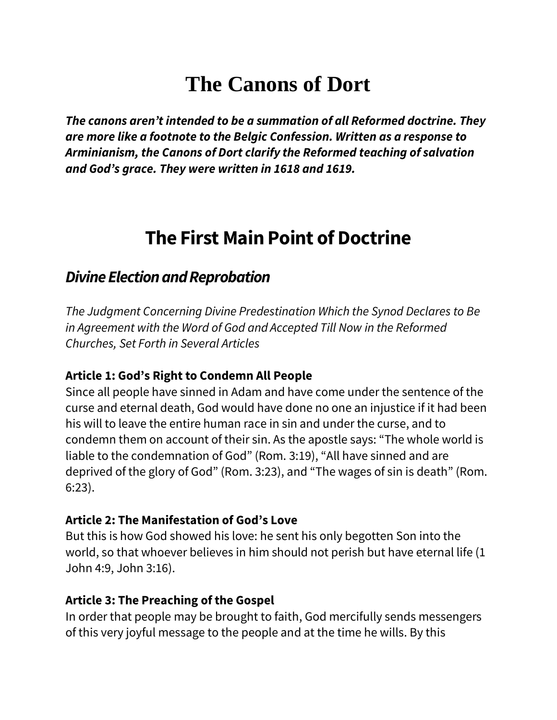# **The Canons of Dort**

*The canons aren't intended to be a summation of all Reformed doctrine. They are more like a footnote to the Belgic [Confession.](http://www.rca.org/about/theology/creeds-and-confessions/the-belgic-confession/) Written as a response to Arminianism, the Canons of Dort clarify the Reformed teaching of salvation and God's grace. They were written in 1618 and 1619.*

# **The First Main Point of Doctrine**

## **Divine Election and Reprobation**

*The Judgment Concerning Divine Predestination Which the Synod Declares to Be in Agreement with the Word of God and Accepted Till Now in the Reformed Churches, Set Forth in Several Articles*

#### **Article 1: God's Right to Condemn All People**

Since all people have sinned in Adam and have come under the sentence of the curse and eternal death, God would have done no one an injustice if it had been his will to leave the entire human race in sin and under the curse, and to condemn them on account of their sin. As the apostle says: "The whole world is liable to the condemnation of God" (Rom. 3:19), "All have sinned and are deprived of the glory of God" (Rom. 3:23), and "The wages of sin is death" (Rom. 6:23).

#### **Article 2: The Manifestation of God's Love**

But this is how God showed his love: he sent his only begotten Son into the world, so that whoever believes in him should not perish but have eternal life (1 John 4:9, John 3:16).

#### **Article 3: The Preaching of the Gospel**

In order that people may be brought to faith, God mercifully sends messengers of this very joyful message to the people and at the time he wills. By this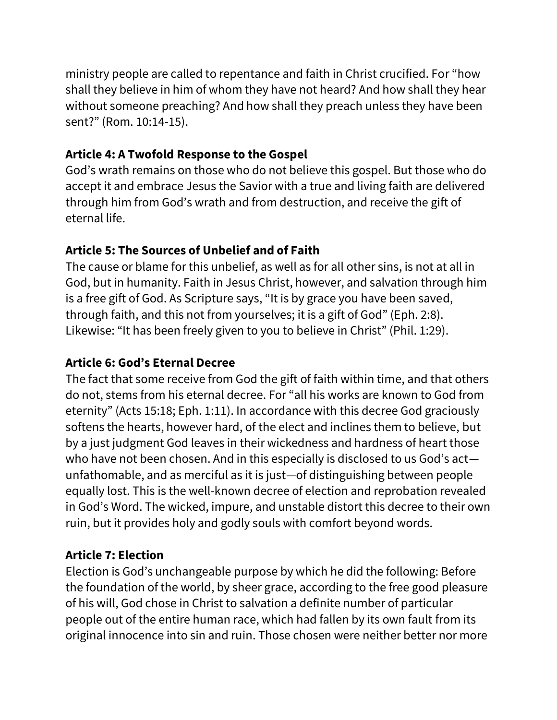ministry people are called to repentance and faith in Christ crucified. For "how shall they believe in him of whom they have not heard? And how shall they hear without someone preaching? And how shall they preach unless they have been sent?" (Rom. 10:14-15).

### **Article 4: A Twofold Response to the Gospel**

God's wrath remains on those who do not believe this gospel. But those who do accept it and embrace Jesus the Savior with a true and living faith are delivered through him from God's wrath and from destruction, and receive the gift of eternal life.

## **Article 5: The Sources of Unbelief and of Faith**

The cause or blame for this unbelief, as well as for all other sins, is not at all in God, but in humanity. Faith in Jesus Christ, however, and salvation through him is a free gift of God. As Scripture says, "It is by grace you have been saved, through faith, and this not from yourselves; it is a gift of God" (Eph. 2:8). Likewise: "It has been freely given to you to believe in Christ" (Phil. 1:29).

### **Article 6: God's Eternal Decree**

The fact that some receive from God the gift of faith within time, and that others do not, stems from his eternal decree. For "all his works are known to God from eternity" (Acts 15:18; Eph. 1:11). In accordance with this decree God graciously softens the hearts, however hard, of the elect and inclines them to believe, but by a just judgment God leaves in their wickedness and hardness of heart those who have not been chosen. And in this especially is disclosed to us God's act unfathomable, and as merciful as it is just—of distinguishing between people equally lost. This is the well-known decree of election and reprobation revealed in God's Word. The wicked, impure, and unstable distort this decree to their own ruin, but it provides holy and godly souls with comfort beyond words.

### **Article 7: Election**

Election is God's unchangeable purpose by which he did the following: Before the foundation of the world, by sheer grace, according to the free good pleasure of his will, God chose in Christ to salvation a definite number of particular people out of the entire human race, which had fallen by its own fault from its original innocence into sin and ruin. Those chosen were neither better nor more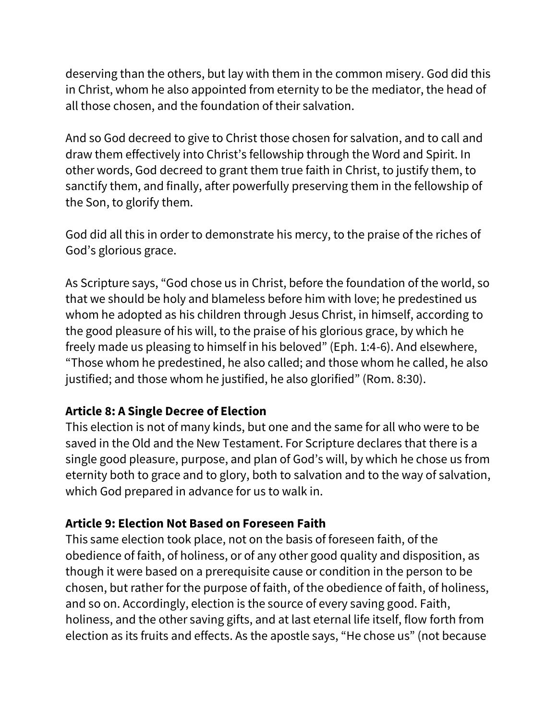deserving than the others, but lay with them in the common misery. God did this in Christ, whom he also appointed from eternity to be the mediator, the head of all those chosen, and the foundation of their salvation.

And so God decreed to give to Christ those chosen for salvation, and to call and draw them effectively into Christ's fellowship through the Word and Spirit. In other words, God decreed to grant them true faith in Christ, to justify them, to sanctify them, and finally, after powerfully preserving them in the fellowship of the Son, to glorify them.

God did all this in order to demonstrate his mercy, to the praise of the riches of God's glorious grace.

As Scripture says, "God chose us in Christ, before the foundation of the world, so that we should be holy and blameless before him with love; he predestined us whom he adopted as his children through Jesus Christ, in himself, according to the good pleasure of his will, to the praise of his glorious grace, by which he freely made us pleasing to himself in his beloved" (Eph. 1:4-6). And elsewhere, "Those whom he predestined, he also called; and those whom he called, he also justified; and those whom he justified, he also glorified" (Rom. 8:30).

#### **Article 8: A Single Decree of Election**

This election is not of many kinds, but one and the same for all who were to be saved in the Old and the New Testament. For Scripture declares that there is a single good pleasure, purpose, and plan of God's will, by which he chose us from eternity both to grace and to glory, both to salvation and to the way of salvation, which God prepared in advance for us to walk in.

#### **Article 9: Election Not Based on Foreseen Faith**

This same election took place, not on the basis of foreseen faith, of the obedience of faith, of holiness, or of any other good quality and disposition, as though it were based on a prerequisite cause or condition in the person to be chosen, but rather for the purpose of faith, of the obedience of faith, of holiness, and so on. Accordingly, election is the source of every saving good. Faith, holiness, and the other saving gifts, and at last eternal life itself, flow forth from election as its fruits and effects. As the apostle says, "He chose us" (not because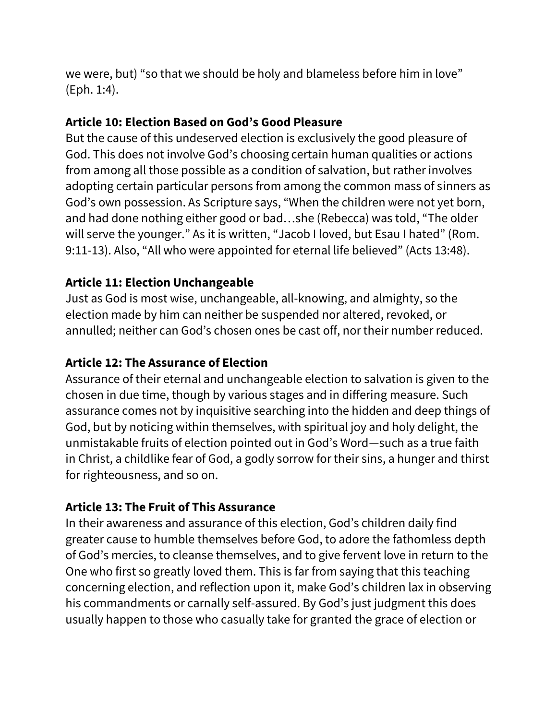we were, but) "so that we should be holy and blameless before him in love" (Eph. 1:4).

#### **Article 10: Election Based on God's Good Pleasure**

But the cause of this undeserved election is exclusively the good pleasure of God. This does not involve God's choosing certain human qualities or actions from among all those possible as a condition of salvation, but rather involves adopting certain particular persons from among the common mass of sinners as God's own possession. As Scripture says, "When the children were not yet born, and had done nothing either good or bad…she (Rebecca) was told, "The older will serve the younger." As it is written, "Jacob I loved, but Esau I hated" (Rom. 9:11-13). Also, "All who were appointed for eternal life believed" (Acts 13:48).

#### **Article 11: Election Unchangeable**

Just as God is most wise, unchangeable, all-knowing, and almighty, so the election made by him can neither be suspended nor altered, revoked, or annulled; neither can God's chosen ones be cast off, nor their number reduced.

#### **Article 12: The Assurance of Election**

Assurance of their eternal and unchangeable election to salvation is given to the chosen in due time, though by various stages and in differing measure. Such assurance comes not by inquisitive searching into the hidden and deep things of God, but by noticing within themselves, with spiritual joy and holy delight, the unmistakable fruits of election pointed out in God's Word—such as a true faith in Christ, a childlike fear of God, a godly sorrow for their sins, a hunger and thirst for righteousness, and so on.

#### **Article 13: The Fruit of This Assurance**

In their awareness and assurance of this election, God's children daily find greater cause to humble themselves before God, to adore the fathomless depth of God's mercies, to cleanse themselves, and to give fervent love in return to the One who first so greatly loved them. This is far from saying that this teaching concerning election, and reflection upon it, make God's children lax in observing his commandments or carnally self-assured. By God's just judgment this does usually happen to those who casually take for granted the grace of election or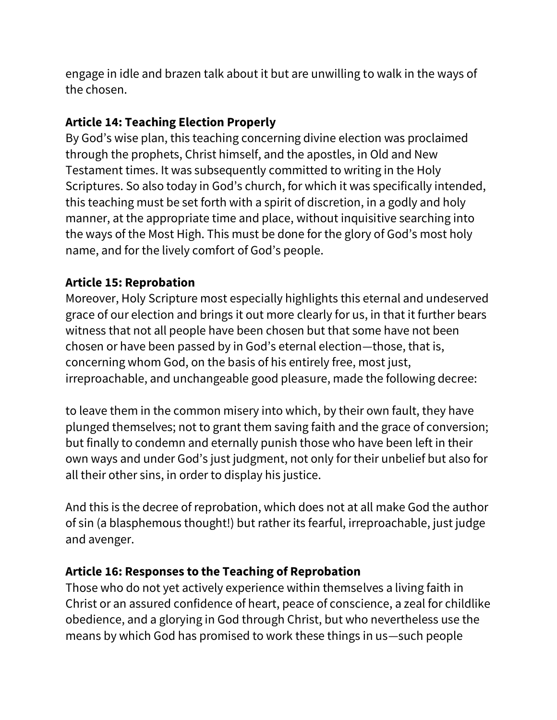engage in idle and brazen talk about it but are unwilling to walk in the ways of the chosen.

#### **Article 14: Teaching Election Properly**

By God's wise plan, this teaching concerning divine election was proclaimed through the prophets, Christ himself, and the apostles, in Old and New Testament times. It was subsequently committed to writing in the Holy Scriptures. So also today in God's church, for which it was specifically intended, this teaching must be set forth with a spirit of discretion, in a godly and holy manner, at the appropriate time and place, without inquisitive searching into the ways of the Most High. This must be done for the glory of God's most holy name, and for the lively comfort of God's people.

#### **Article 15: Reprobation**

Moreover, Holy Scripture most especially highlights this eternal and undeserved grace of our election and brings it out more clearly for us, in that it further bears witness that not all people have been chosen but that some have not been chosen or have been passed by in God's eternal election—those, that is, concerning whom God, on the basis of his entirely free, most just, irreproachable, and unchangeable good pleasure, made the following decree:

to leave them in the common misery into which, by their own fault, they have plunged themselves; not to grant them saving faith and the grace of conversion; but finally to condemn and eternally punish those who have been left in their own ways and under God's just judgment, not only for their unbelief but also for all their other sins, in order to display his justice.

And this is the decree of reprobation, which does not at all make God the author of sin (a blasphemous thought!) but rather its fearful, irreproachable, just judge and avenger.

#### **Article 16: Responses to the Teaching of Reprobation**

Those who do not yet actively experience within themselves a living faith in Christ or an assured confidence of heart, peace of conscience, a zeal for childlike obedience, and a glorying in God through Christ, but who nevertheless use the means by which God has promised to work these things in us—such people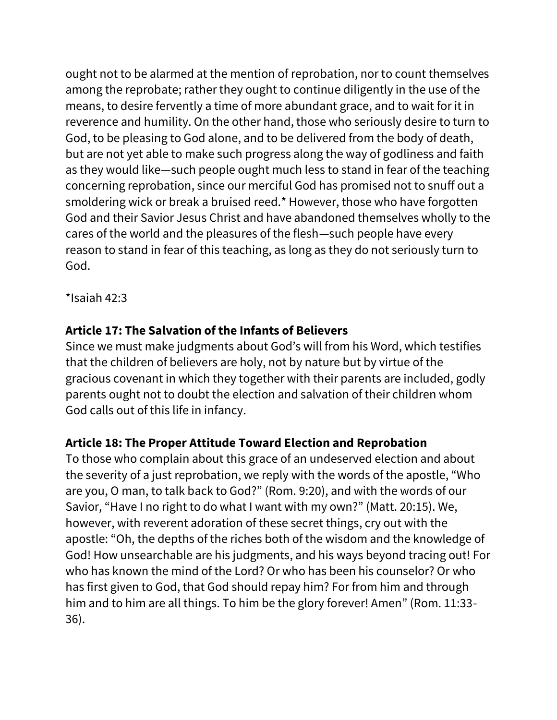ought not to be alarmed at the mention of reprobation, nor to count themselves among the reprobate; rather they ought to continue diligently in the use of the means, to desire fervently a time of more abundant grace, and to wait for it in reverence and humility. On the other hand, those who seriously desire to turn to God, to be pleasing to God alone, and to be delivered from the body of death, but are not yet able to make such progress along the way of godliness and faith as they would like—such people ought much less to stand in fear of the teaching concerning reprobation, since our merciful God has promised not to snuff out a smoldering wick or break a bruised reed.\* However, those who have forgotten God and their Savior Jesus Christ and have abandoned themselves wholly to the cares of the world and the pleasures of the flesh—such people have every reason to stand in fear of this teaching, as long as they do not seriously turn to God.

\*Isaiah 42:3

## **Article 17: The Salvation of the Infants of Believers**

Since we must make judgments about God's will from his Word, which testifies that the children of believers are holy, not by nature but by virtue of the gracious covenant in which they together with their parents are included, godly parents ought not to doubt the election and salvation of their children whom God calls out of this life in infancy.

## **Article 18: The Proper Attitude Toward Election and Reprobation**

To those who complain about this grace of an undeserved election and about the severity of a just reprobation, we reply with the words of the apostle, "Who are you, O man, to talk back to God?" (Rom. 9:20), and with the words of our Savior, "Have I no right to do what I want with my own?" (Matt. 20:15). We, however, with reverent adoration of these secret things, cry out with the apostle: "Oh, the depths of the riches both of the wisdom and the knowledge of God! How unsearchable are his judgments, and his ways beyond tracing out! For who has known the mind of the Lord? Or who has been his counselor? Or who has first given to God, that God should repay him? For from him and through him and to him are all things. To him be the glory forever! Amen" (Rom. 11:33- 36).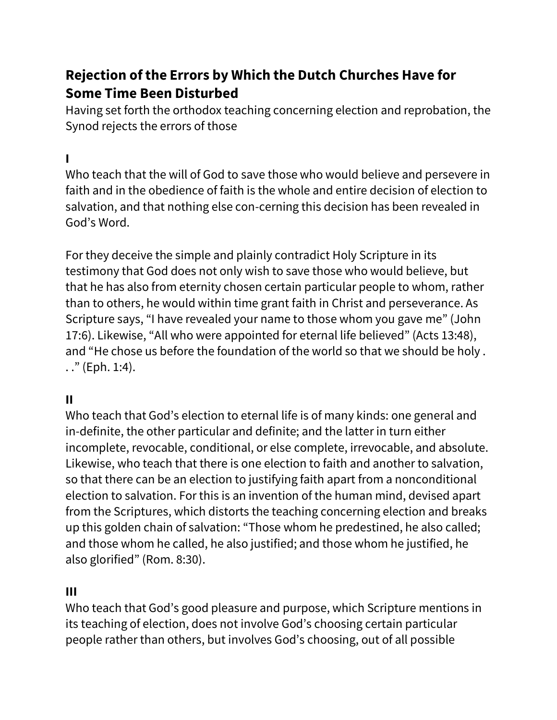# **Rejection of the Errors by Which the Dutch Churches Have for Some Time Been Disturbed**

Having set forth the orthodox teaching concerning election and reprobation, the Synod rejects the errors of those

## **I**

Who teach that the will of God to save those who would believe and persevere in faith and in the obedience of faith is the whole and entire decision of election to salvation, and that nothing else con-cerning this decision has been revealed in God's Word.

For they deceive the simple and plainly contradict Holy Scripture in its testimony that God does not only wish to save those who would believe, but that he has also from eternity chosen certain particular people to whom, rather than to others, he would within time grant faith in Christ and perseverance. As Scripture says, "I have revealed your name to those whom you gave me" (John 17:6). Likewise, "All who were appointed for eternal life believed" (Acts 13:48), and "He chose us before the foundation of the world so that we should be holy .  $\ldots$ " (Eph. 1:4).

#### **II**

Who teach that God's election to eternal life is of many kinds: one general and in-definite, the other particular and definite; and the latter in turn either incomplete, revocable, conditional, or else complete, irrevocable, and absolute. Likewise, who teach that there is one election to faith and another to salvation, so that there can be an election to justifying faith apart from a nonconditional election to salvation. For this is an invention of the human mind, devised apart from the Scriptures, which distorts the teaching concerning election and breaks up this golden chain of salvation: "Those whom he predestined, he also called; and those whom he called, he also justified; and those whom he justified, he also glorified" (Rom. 8:30).

#### **III**

Who teach that God's good pleasure and purpose, which Scripture mentions in its teaching of election, does not involve God's choosing certain particular people rather than others, but involves God's choosing, out of all possible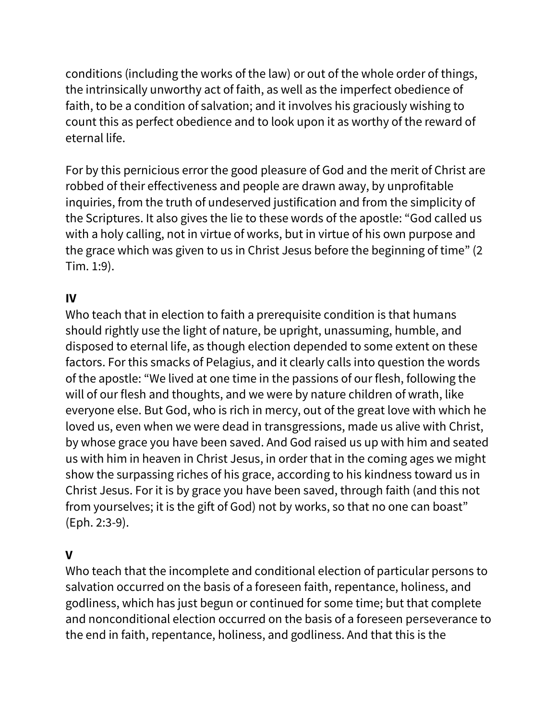conditions (including the works of the law) or out of the whole order of things, the intrinsically unworthy act of faith, as well as the imperfect obedience of faith, to be a condition of salvation; and it involves his graciously wishing to count this as perfect obedience and to look upon it as worthy of the reward of eternal life.

For by this pernicious error the good pleasure of God and the merit of Christ are robbed of their effectiveness and people are drawn away, by unprofitable inquiries, from the truth of undeserved justification and from the simplicity of the Scriptures. It also gives the lie to these words of the apostle: "God called us with a holy calling, not in virtue of works, but in virtue of his own purpose and the grace which was given to us in Christ Jesus before the beginning of time" (2 Tim. 1:9).

#### **IV**

Who teach that in election to faith a prerequisite condition is that humans should rightly use the light of nature, be upright, unassuming, humble, and disposed to eternal life, as though election depended to some extent on these factors. For this smacks of Pelagius, and it clearly calls into question the words of the apostle: "We lived at one time in the passions of our flesh, following the will of our flesh and thoughts, and we were by nature children of wrath, like everyone else. But God, who is rich in mercy, out of the great love with which he loved us, even when we were dead in transgressions, made us alive with Christ, by whose grace you have been saved. And God raised us up with him and seated us with him in heaven in Christ Jesus, in order that in the coming ages we might show the surpassing riches of his grace, according to his kindness toward us in Christ Jesus. For it is by grace you have been saved, through faith (and this not from yourselves; it is the gift of God) not by works, so that no one can boast" (Eph. 2:3-9).

#### **V**

Who teach that the incomplete and conditional election of particular persons to salvation occurred on the basis of a foreseen faith, repentance, holiness, and godliness, which has just begun or continued for some time; but that complete and nonconditional election occurred on the basis of a foreseen perseverance to the end in faith, repentance, holiness, and godliness. And that this is the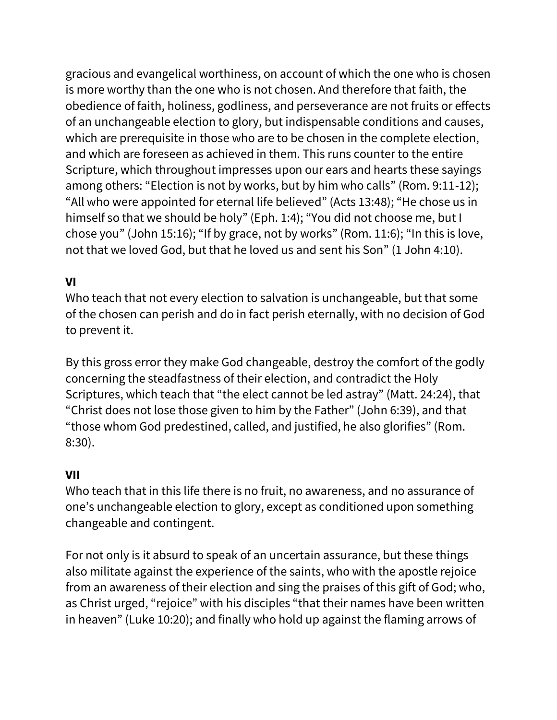gracious and evangelical worthiness, on account of which the one who is chosen is more worthy than the one who is not chosen. And therefore that faith, the obedience of faith, holiness, godliness, and perseverance are not fruits or effects of an unchangeable election to glory, but indispensable conditions and causes, which are prerequisite in those who are to be chosen in the complete election, and which are foreseen as achieved in them. This runs counter to the entire Scripture, which throughout impresses upon our ears and hearts these sayings among others: "Election is not by works, but by him who calls" (Rom. 9:11-12); "All who were appointed for eternal life believed" (Acts 13:48); "He chose us in himself so that we should be holy" (Eph. 1:4); "You did not choose me, but I chose you" (John 15:16); "If by grace, not by works" (Rom. 11:6); "In this is love, not that we loved God, but that he loved us and sent his Son" (1 John 4:10).

#### **VI**

Who teach that not every election to salvation is unchangeable, but that some of the chosen can perish and do in fact perish eternally, with no decision of God to prevent it.

By this gross error they make God changeable, destroy the comfort of the godly concerning the steadfastness of their election, and contradict the Holy Scriptures, which teach that "the elect cannot be led astray" (Matt. 24:24), that "Christ does not lose those given to him by the Father" (John 6:39), and that "those whom God predestined, called, and justified, he also glorifies" (Rom. 8:30).

#### **VII**

Who teach that in this life there is no fruit, no awareness, and no assurance of one's unchangeable election to glory, except as conditioned upon something changeable and contingent.

For not only is it absurd to speak of an uncertain assurance, but these things also militate against the experience of the saints, who with the apostle rejoice from an awareness of their election and sing the praises of this gift of God; who, as Christ urged, "rejoice" with his disciples "that their names have been written in heaven" (Luke 10:20); and finally who hold up against the flaming arrows of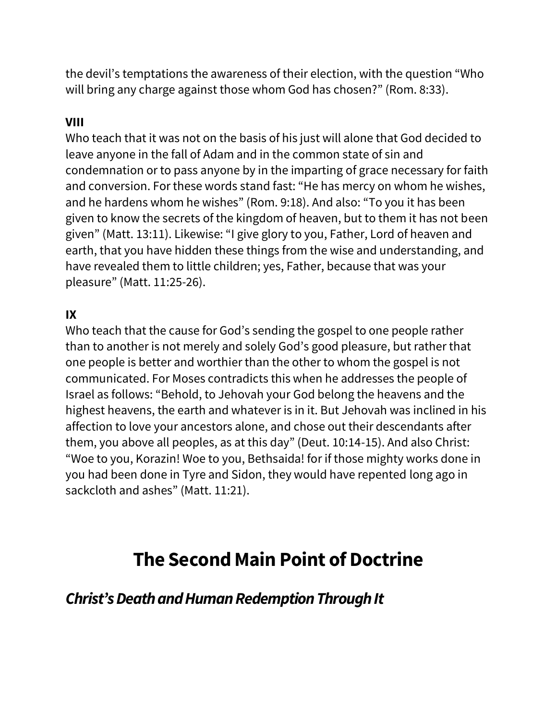the devil's temptations the awareness of their election, with the question "Who will bring any charge against those whom God has chosen?" (Rom. 8:33).

### **VIII**

Who teach that it was not on the basis of his just will alone that God decided to leave anyone in the fall of Adam and in the common state of sin and condemnation or to pass anyone by in the imparting of grace necessary for faith and conversion. For these words stand fast: "He has mercy on whom he wishes, and he hardens whom he wishes" (Rom. 9:18). And also: "To you it has been given to know the secrets of the kingdom of heaven, but to them it has not been given" (Matt. 13:11). Likewise: "I give glory to you, Father, Lord of heaven and earth, that you have hidden these things from the wise and understanding, and have revealed them to little children; yes, Father, because that was your pleasure" (Matt. 11:25-26).

#### **IX**

Who teach that the cause for God's sending the gospel to one people rather than to another is not merely and solely God's good pleasure, but rather that one people is better and worthier than the other to whom the gospel is not communicated. For Moses contradicts this when he addresses the people of Israel as follows: "Behold, to Jehovah your God belong the heavens and the highest heavens, the earth and whatever is in it. But Jehovah was inclined in his affection to love your ancestors alone, and chose out their descendants after them, you above all peoples, as at this day" (Deut. 10:14-15). And also Christ: "Woe to you, Korazin! Woe to you, Bethsaida! for if those mighty works done in you had been done in Tyre and Sidon, they would have repented long ago in sackcloth and ashes" (Matt. 11:21).

# **The Second Main Point of Doctrine**

# *Christ'sDeathandHumanRedemptionThroughIt*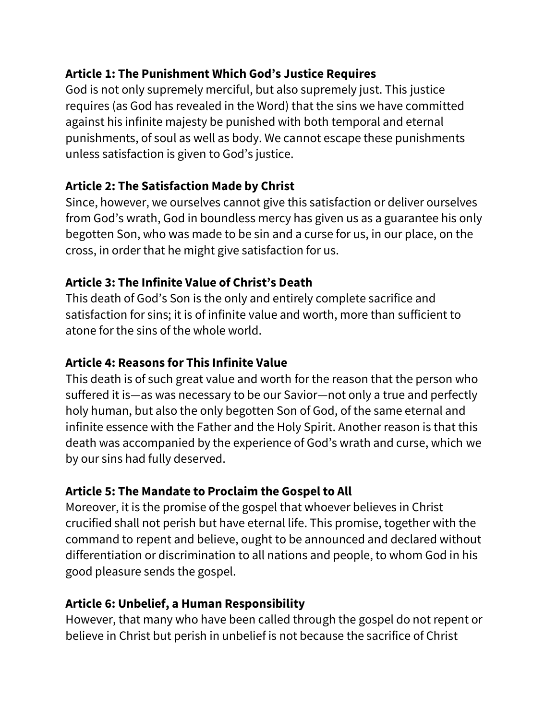#### **Article 1: The Punishment Which God's Justice Requires**

God is not only supremely merciful, but also supremely just. This justice requires (as God has revealed in the Word) that the sins we have committed against his infinite majesty be punished with both temporal and eternal punishments, of soul as well as body. We cannot escape these punishments unless satisfaction is given to God's justice.

## **Article 2: The Satisfaction Made by Christ**

Since, however, we ourselves cannot give this satisfaction or deliver ourselves from God's wrath, God in boundless mercy has given us as a guarantee his only begotten Son, who was made to be sin and a curse for us, in our place, on the cross, in order that he might give satisfaction for us.

### **Article 3: The Infinite Value of Christ's Death**

This death of God's Son is the only and entirely complete sacrifice and satisfaction for sins; it is of infinite value and worth, more than sufficient to atone for the sins of the whole world.

#### **Article 4: Reasons for This Infinite Value**

This death is of such great value and worth for the reason that the person who suffered it is—as was necessary to be our Savior—not only a true and perfectly holy human, but also the only begotten Son of God, of the same eternal and infinite essence with the Father and the Holy Spirit. Another reason is that this death was accompanied by the experience of God's wrath and curse, which we by our sins had fully deserved.

### **Article 5: The Mandate to Proclaim the Gospel to All**

Moreover, it is the promise of the gospel that whoever believes in Christ crucified shall not perish but have eternal life. This promise, together with the command to repent and believe, ought to be announced and declared without differentiation or discrimination to all nations and people, to whom God in his good pleasure sends the gospel.

### **Article 6: Unbelief, a Human Responsibility**

However, that many who have been called through the gospel do not repent or believe in Christ but perish in unbelief is not because the sacrifice of Christ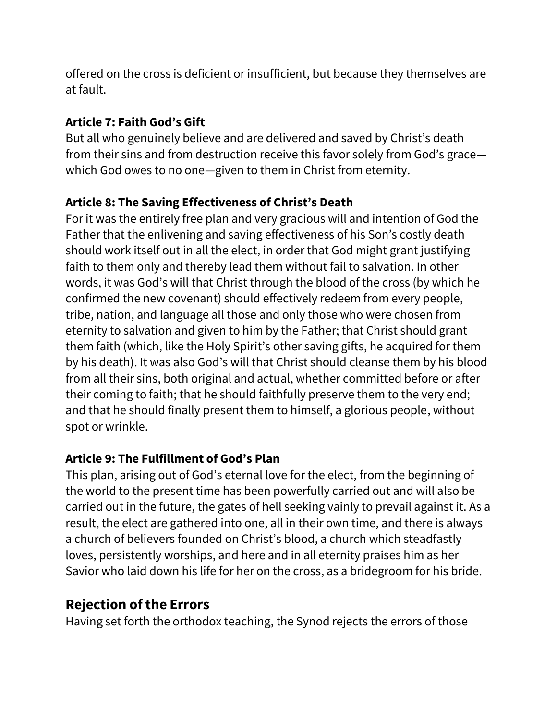offered on the cross is deficient or insufficient, but because they themselves are at fault.

#### **Article 7: Faith God's Gift**

But all who genuinely believe and are delivered and saved by Christ's death from their sins and from destruction receive this favor solely from God's grace which God owes to no one—given to them in Christ from eternity.

## **Article 8: The Saving Effectiveness of Christ's Death**

For it was the entirely free plan and very gracious will and intention of God the Father that the enlivening and saving effectiveness of his Son's costly death should work itself out in all the elect, in order that God might grant justifying faith to them only and thereby lead them without fail to salvation. In other words, it was God's will that Christ through the blood of the cross (by which he confirmed the new covenant) should effectively redeem from every people, tribe, nation, and language all those and only those who were chosen from eternity to salvation and given to him by the Father; that Christ should grant them faith (which, like the Holy Spirit's other saving gifts, he acquired for them by his death). It was also God's will that Christ should cleanse them by his blood from all their sins, both original and actual, whether committed before or after their coming to faith; that he should faithfully preserve them to the very end; and that he should finally present them to himself, a glorious people, without spot or wrinkle.

### **Article 9: The Fulfillment of God's Plan**

This plan, arising out of God's eternal love for the elect, from the beginning of the world to the present time has been powerfully carried out and will also be carried out in the future, the gates of hell seeking vainly to prevail against it. As a result, the elect are gathered into one, all in their own time, and there is always a church of believers founded on Christ's blood, a church which steadfastly loves, persistently worships, and here and in all eternity praises him as her Savior who laid down his life for her on the cross, as a bridegroom for his bride.

## **Rejection of the Errors**

Having set forth the orthodox teaching, the Synod rejects the errors of those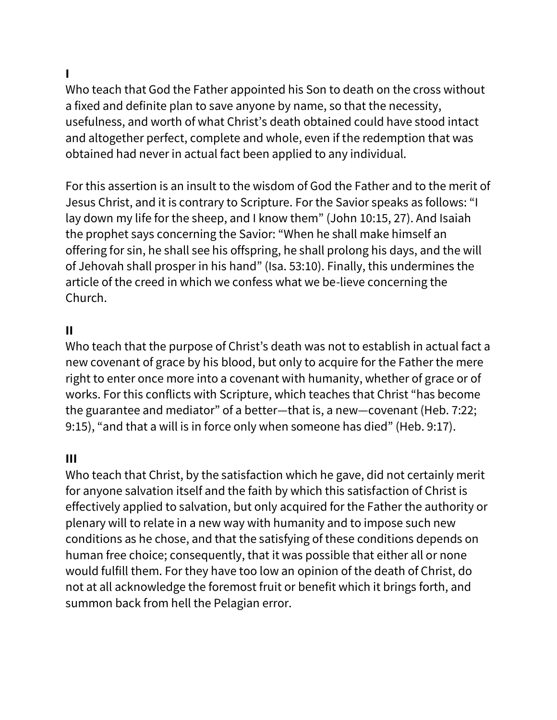**I**

Who teach that God the Father appointed his Son to death on the cross without a fixed and definite plan to save anyone by name, so that the necessity, usefulness, and worth of what Christ's death obtained could have stood intact and altogether perfect, complete and whole, even if the redemption that was obtained had never in actual fact been applied to any individual.

For this assertion is an insult to the wisdom of God the Father and to the merit of Jesus Christ, and it is contrary to Scripture. For the Savior speaks as follows: "I lay down my life for the sheep, and I know them" (John 10:15, 27). And Isaiah the prophet says concerning the Savior: "When he shall make himself an offering for sin, he shall see his offspring, he shall prolong his days, and the will of Jehovah shall prosper in his hand" (Isa. 53:10). Finally, this undermines the article of the creed in which we confess what we be-lieve concerning the Church.

#### **II**

Who teach that the purpose of Christ's death was not to establish in actual fact a new covenant of grace by his blood, but only to acquire for the Father the mere right to enter once more into a covenant with humanity, whether of grace or of works. For this conflicts with Scripture, which teaches that Christ "has become the guarantee and mediator" of a better—that is, a new—covenant (Heb. 7:22; 9:15), "and that a will is in force only when someone has died" (Heb. 9:17).

#### **III**

Who teach that Christ, by the satisfaction which he gave, did not certainly merit for anyone salvation itself and the faith by which this satisfaction of Christ is effectively applied to salvation, but only acquired for the Father the authority or plenary will to relate in a new way with humanity and to impose such new conditions as he chose, and that the satisfying of these conditions depends on human free choice; consequently, that it was possible that either all or none would fulfill them. For they have too low an opinion of the death of Christ, do not at all acknowledge the foremost fruit or benefit which it brings forth, and summon back from hell the Pelagian error.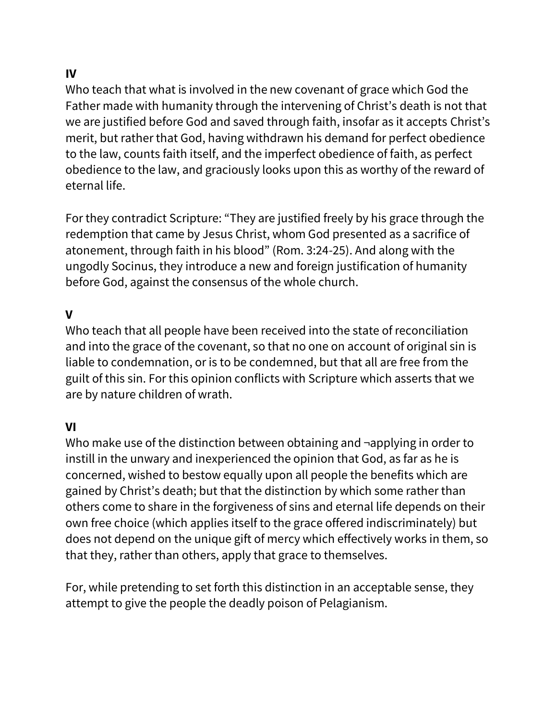#### **IV**

Who teach that what is involved in the new covenant of grace which God the Father made with humanity through the intervening of Christ's death is not that we are justified before God and saved through faith, insofar as it accepts Christ's merit, but rather that God, having withdrawn his demand for perfect obedience to the law, counts faith itself, and the imperfect obedience of faith, as perfect obedience to the law, and graciously looks upon this as worthy of the reward of eternal life.

For they contradict Scripture: "They are justified freely by his grace through the redemption that came by Jesus Christ, whom God presented as a sacrifice of atonement, through faith in his blood" (Rom. 3:24-25). And along with the ungodly Socinus, they introduce a new and foreign justification of humanity before God, against the consensus of the whole church.

#### **V**

Who teach that all people have been received into the state of reconciliation and into the grace of the covenant, so that no one on account of original sin is liable to condemnation, or is to be condemned, but that all are free from the guilt of this sin. For this opinion conflicts with Scripture which asserts that we are by nature children of wrath.

#### **VI**

Who make use of the distinction between obtaining and ¬applying in order to instill in the unwary and inexperienced the opinion that God, as far as he is concerned, wished to bestow equally upon all people the benefits which are gained by Christ's death; but that the distinction by which some rather than others come to share in the forgiveness of sins and eternal life depends on their own free choice (which applies itself to the grace offered indiscriminately) but does not depend on the unique gift of mercy which effectively works in them, so that they, rather than others, apply that grace to themselves.

For, while pretending to set forth this distinction in an acceptable sense, they attempt to give the people the deadly poison of Pelagianism.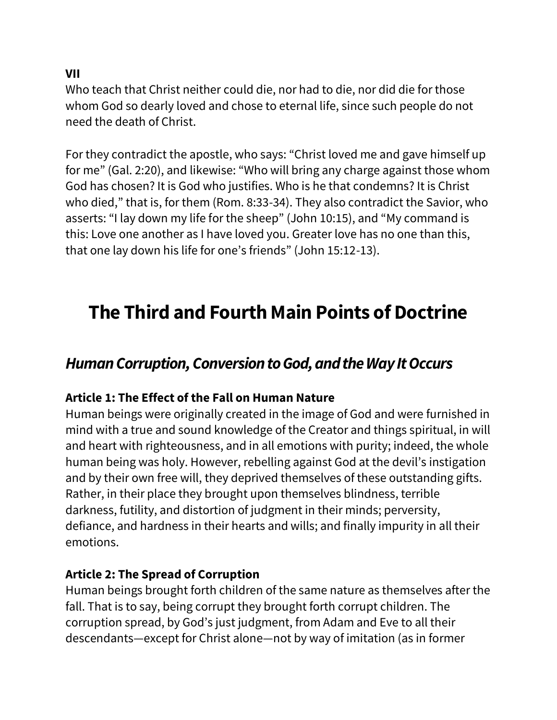#### **VII**

Who teach that Christ neither could die, nor had to die, nor did die for those whom God so dearly loved and chose to eternal life, since such people do not need the death of Christ.

For they contradict the apostle, who says: "Christ loved me and gave himself up for me" (Gal. 2:20), and likewise: "Who will bring any charge against those whom God has chosen? It is God who justifies. Who is he that condemns? It is Christ who died," that is, for them (Rom. 8:33-34). They also contradict the Savior, who asserts: "I lay down my life for the sheep" (John 10:15), and "My command is this: Love one another as I have loved you. Greater love has no one than this, that one lay down his life for one's friends" (John 15:12-13).

# **The Third and Fourth Main Points of Doctrine**

# *HumanCorruption,ConversiontoGod,andtheWayItOccurs*

#### **Article 1: The Effect of the Fall on Human Nature**

Human beings were originally created in the image of God and were furnished in mind with a true and sound knowledge of the Creator and things spiritual, in will and heart with righteousness, and in all emotions with purity; indeed, the whole human being was holy. However, rebelling against God at the devil's instigation and by their own free will, they deprived themselves of these outstanding gifts. Rather, in their place they brought upon themselves blindness, terrible darkness, futility, and distortion of judgment in their minds; perversity, defiance, and hardness in their hearts and wills; and finally impurity in all their emotions.

#### **Article 2: The Spread of Corruption**

Human beings brought forth children of the same nature as themselves after the fall. That is to say, being corrupt they brought forth corrupt children. The corruption spread, by God's just judgment, from Adam and Eve to all their descendants—except for Christ alone—not by way of imitation (as in former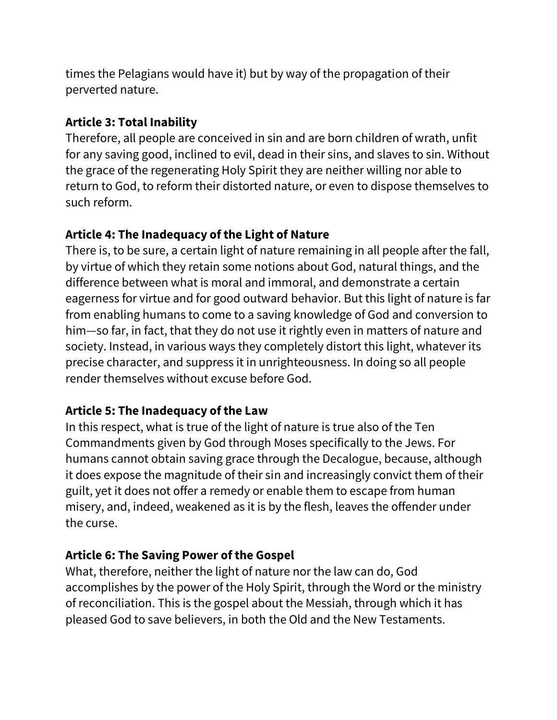times the Pelagians would have it) but by way of the propagation of their perverted nature.

#### **Article 3: Total Inability**

Therefore, all people are conceived in sin and are born children of wrath, unfit for any saving good, inclined to evil, dead in their sins, and slaves to sin. Without the grace of the regenerating Holy Spirit they are neither willing nor able to return to God, to reform their distorted nature, or even to dispose themselves to such reform.

### **Article 4: The Inadequacy of the Light of Nature**

There is, to be sure, a certain light of nature remaining in all people after the fall, by virtue of which they retain some notions about God, natural things, and the difference between what is moral and immoral, and demonstrate a certain eagerness for virtue and for good outward behavior. But this light of nature is far from enabling humans to come to a saving knowledge of God and conversion to him—so far, in fact, that they do not use it rightly even in matters of nature and society. Instead, in various ways they completely distort this light, whatever its precise character, and suppress it in unrighteousness. In doing so all people render themselves without excuse before God.

### **Article 5: The Inadequacy of the Law**

In this respect, what is true of the light of nature is true also of the Ten Commandments given by God through Moses specifically to the Jews. For humans cannot obtain saving grace through the Decalogue, because, although it does expose the magnitude of their sin and increasingly convict them of their guilt, yet it does not offer a remedy or enable them to escape from human misery, and, indeed, weakened as it is by the flesh, leaves the offender under the curse.

### **Article 6: The Saving Power of the Gospel**

What, therefore, neither the light of nature nor the law can do, God accomplishes by the power of the Holy Spirit, through the Word or the ministry of reconciliation. This is the gospel about the Messiah, through which it has pleased God to save believers, in both the Old and the New Testaments.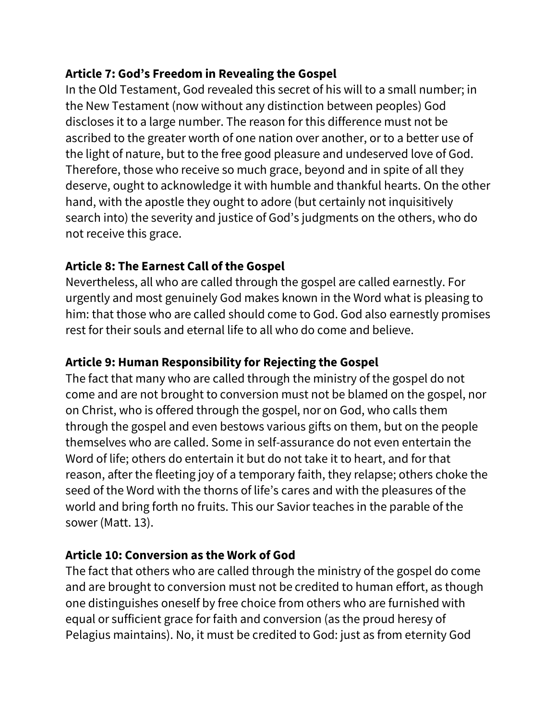#### **Article 7: God's Freedom in Revealing the Gospel**

In the Old Testament, God revealed this secret of his will to a small number; in the New Testament (now without any distinction between peoples) God discloses it to a large number. The reason for this difference must not be ascribed to the greater worth of one nation over another, or to a better use of the light of nature, but to the free good pleasure and undeserved love of God. Therefore, those who receive so much grace, beyond and in spite of all they deserve, ought to acknowledge it with humble and thankful hearts. On the other hand, with the apostle they ought to adore (but certainly not inquisitively search into) the severity and justice of God's judgments on the others, who do not receive this grace.

### **Article 8: The Earnest Call of the Gospel**

Nevertheless, all who are called through the gospel are called earnestly. For urgently and most genuinely God makes known in the Word what is pleasing to him: that those who are called should come to God. God also earnestly promises rest for their souls and eternal life to all who do come and believe.

#### **Article 9: Human Responsibility for Rejecting the Gospel**

The fact that many who are called through the ministry of the gospel do not come and are not brought to conversion must not be blamed on the gospel, nor on Christ, who is offered through the gospel, nor on God, who calls them through the gospel and even bestows various gifts on them, but on the people themselves who are called. Some in self-assurance do not even entertain the Word of life; others do entertain it but do not take it to heart, and for that reason, after the fleeting joy of a temporary faith, they relapse; others choke the seed of the Word with the thorns of life's cares and with the pleasures of the world and bring forth no fruits. This our Savior teaches in the parable of the sower (Matt. 13).

#### **Article 10: Conversion as the Work of God**

The fact that others who are called through the ministry of the gospel do come and are brought to conversion must not be credited to human effort, as though one distinguishes oneself by free choice from others who are furnished with equal or sufficient grace for faith and conversion (as the proud heresy of Pelagius maintains). No, it must be credited to God: just as from eternity God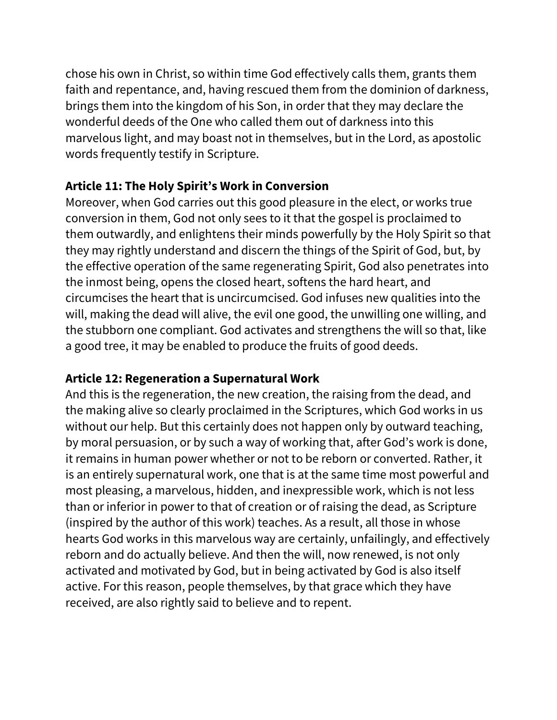chose his own in Christ, so within time God effectively calls them, grants them faith and repentance, and, having rescued them from the dominion of darkness, brings them into the kingdom of his Son, in order that they may declare the wonderful deeds of the One who called them out of darkness into this marvelous light, and may boast not in themselves, but in the Lord, as apostolic words frequently testify in Scripture.

### **Article 11: The Holy Spirit's Work in Conversion**

Moreover, when God carries out this good pleasure in the elect, or works true conversion in them, God not only sees to it that the gospel is proclaimed to them outwardly, and enlightens their minds powerfully by the Holy Spirit so that they may rightly understand and discern the things of the Spirit of God, but, by the effective operation of the same regenerating Spirit, God also penetrates into the inmost being, opens the closed heart, softens the hard heart, and circumcises the heart that is uncircumcised. God infuses new qualities into the will, making the dead will alive, the evil one good, the unwilling one willing, and the stubborn one compliant. God activates and strengthens the will so that, like a good tree, it may be enabled to produce the fruits of good deeds.

### **Article 12: Regeneration a Supernatural Work**

And this is the regeneration, the new creation, the raising from the dead, and the making alive so clearly proclaimed in the Scriptures, which God works in us without our help. But this certainly does not happen only by outward teaching, by moral persuasion, or by such a way of working that, after God's work is done, it remains in human power whether or not to be reborn or converted. Rather, it is an entirely supernatural work, one that is at the same time most powerful and most pleasing, a marvelous, hidden, and inexpressible work, which is not less than or inferior in power to that of creation or of raising the dead, as Scripture (inspired by the author of this work) teaches. As a result, all those in whose hearts God works in this marvelous way are certainly, unfailingly, and effectively reborn and do actually believe. And then the will, now renewed, is not only activated and motivated by God, but in being activated by God is also itself active. For this reason, people themselves, by that grace which they have received, are also rightly said to believe and to repent.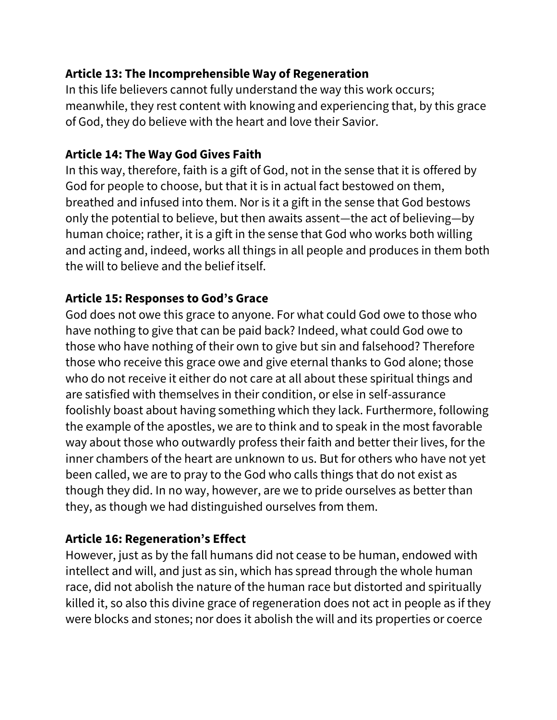#### **Article 13: The Incomprehensible Way of Regeneration**

In this life believers cannot fully understand the way this work occurs; meanwhile, they rest content with knowing and experiencing that, by this grace of God, they do believe with the heart and love their Savior.

#### **Article 14: The Way God Gives Faith**

In this way, therefore, faith is a gift of God, not in the sense that it is offered by God for people to choose, but that it is in actual fact bestowed on them, breathed and infused into them. Nor is it a gift in the sense that God bestows only the potential to believe, but then awaits assent—the act of believing—by human choice; rather, it is a gift in the sense that God who works both willing and acting and, indeed, works all things in all people and produces in them both the will to believe and the belief itself.

#### **Article 15: Responses to God's Grace**

God does not owe this grace to anyone. For what could God owe to those who have nothing to give that can be paid back? Indeed, what could God owe to those who have nothing of their own to give but sin and falsehood? Therefore those who receive this grace owe and give eternal thanks to God alone; those who do not receive it either do not care at all about these spiritual things and are satisfied with themselves in their condition, or else in self-assurance foolishly boast about having something which they lack. Furthermore, following the example of the apostles, we are to think and to speak in the most favorable way about those who outwardly profess their faith and better their lives, for the inner chambers of the heart are unknown to us. But for others who have not yet been called, we are to pray to the God who calls things that do not exist as though they did. In no way, however, are we to pride ourselves as better than they, as though we had distinguished ourselves from them.

### **Article 16: Regeneration's Effect**

However, just as by the fall humans did not cease to be human, endowed with intellect and will, and just as sin, which has spread through the whole human race, did not abolish the nature of the human race but distorted and spiritually killed it, so also this divine grace of regeneration does not act in people as if they were blocks and stones; nor does it abolish the will and its properties or coerce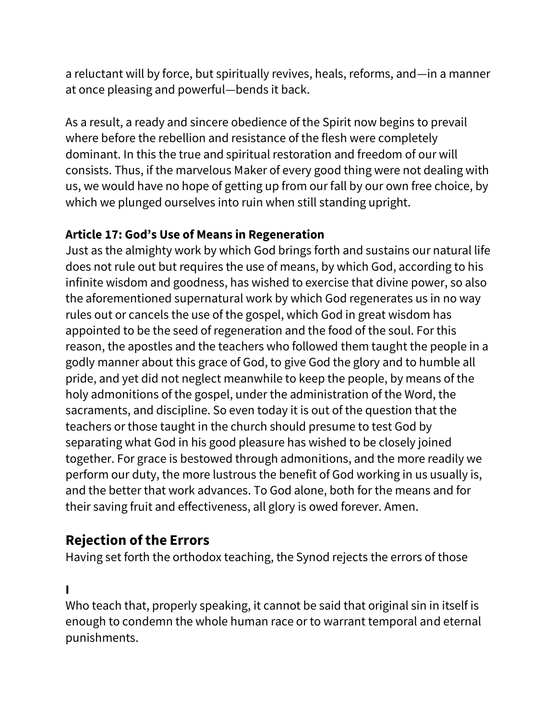a reluctant will by force, but spiritually revives, heals, reforms, and—in a manner at once pleasing and powerful—bends it back.

As a result, a ready and sincere obedience of the Spirit now begins to prevail where before the rebellion and resistance of the flesh were completely dominant. In this the true and spiritual restoration and freedom of our will consists. Thus, if the marvelous Maker of every good thing were not dealing with us, we would have no hope of getting up from our fall by our own free choice, by which we plunged ourselves into ruin when still standing upright.

### **Article 17: God's Use of Means in Regeneration**

Just as the almighty work by which God brings forth and sustains our natural life does not rule out but requires the use of means, by which God, according to his infinite wisdom and goodness, has wished to exercise that divine power, so also the aforementioned supernatural work by which God regenerates us in no way rules out or cancels the use of the gospel, which God in great wisdom has appointed to be the seed of regeneration and the food of the soul. For this reason, the apostles and the teachers who followed them taught the people in a godly manner about this grace of God, to give God the glory and to humble all pride, and yet did not neglect meanwhile to keep the people, by means of the holy admonitions of the gospel, under the administration of the Word, the sacraments, and discipline. So even today it is out of the question that the teachers or those taught in the church should presume to test God by separating what God in his good pleasure has wished to be closely joined together. For grace is bestowed through admonitions, and the more readily we perform our duty, the more lustrous the benefit of God working in us usually is, and the better that work advances. To God alone, both for the means and for their saving fruit and effectiveness, all glory is owed forever. Amen.

## **Rejection of the Errors**

Having set forth the orthodox teaching, the Synod rejects the errors of those

#### **I**

Who teach that, properly speaking, it cannot be said that original sin in itself is enough to condemn the whole human race or to warrant temporal and eternal punishments.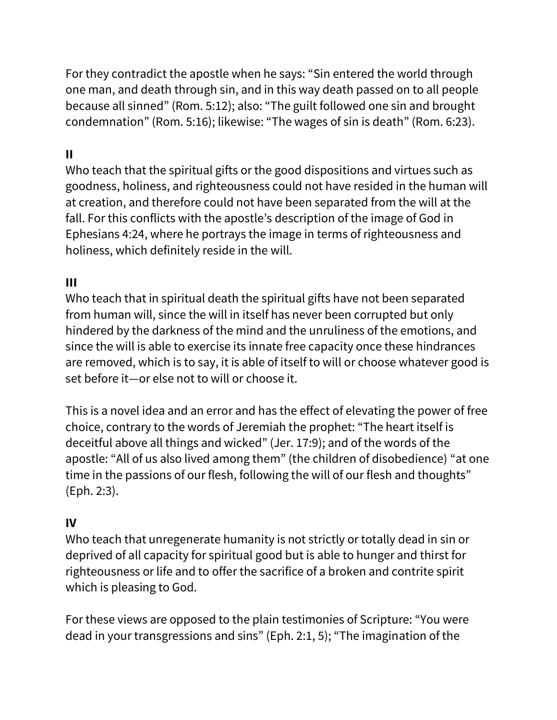For they contradict the apostle when he says: "Sin entered the world through one man, and death through sin, and in this way death passed on to all people because all sinned" (Rom. 5:12); also: "The guilt followed one sin and brought condemnation" (Rom. 5:16); likewise: "The wages of sin is death" (Rom. 6:23).

## **II**

Who teach that the spiritual gifts or the good dispositions and virtues such as goodness, holiness, and righteousness could not have resided in the human will at creation, and therefore could not have been separated from the will at the fall. For this conflicts with the apostle's description of the image of God in Ephesians 4:24, where he portrays the image in terms of righteousness and holiness, which definitely reside in the will.

#### **III**

Who teach that in spiritual death the spiritual gifts have not been separated from human will, since the will in itself has never been corrupted but only hindered by the darkness of the mind and the unruliness of the emotions, and since the will is able to exercise its innate free capacity once these hindrances are removed, which is to say, it is able of itself to will or choose whatever good is set before it—or else not to will or choose it.

This is a novel idea and an error and has the effect of elevating the power of free choice, contrary to the words of Jeremiah the prophet: "The heart itself is deceitful above all things and wicked" (Jer. 17:9); and of the words of the apostle: "All of us also lived among them" (the children of disobedience) "at one time in the passions of our flesh, following the will of our flesh and thoughts" (Eph. 2:3).

#### **IV**

Who teach that unregenerate humanity is not strictly or totally dead in sin or deprived of all capacity for spiritual good but is able to hunger and thirst for righteousness or life and to offer the sacrifice of a broken and contrite spirit which is pleasing to God.

For these views are opposed to the plain testimonies of Scripture: "You were dead in your transgressions and sins" (Eph. 2:1, 5); "The imagination of the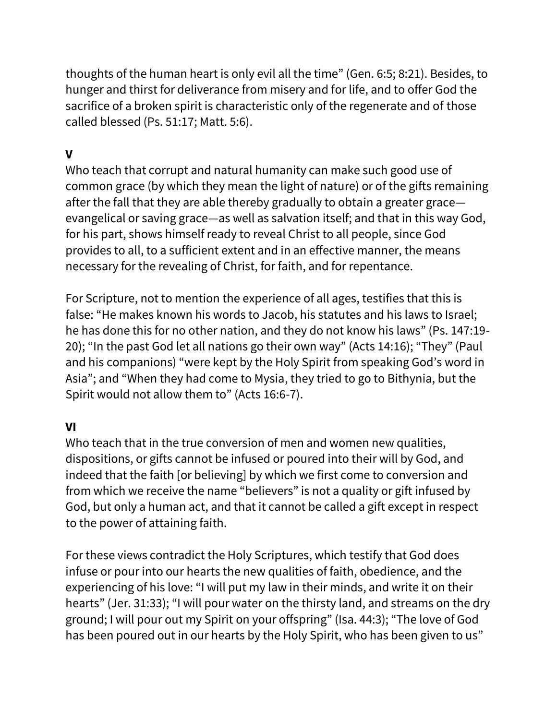thoughts of the human heart is only evil all the time" (Gen. 6:5; 8:21). Besides, to hunger and thirst for deliverance from misery and for life, and to offer God the sacrifice of a broken spirit is characteristic only of the regenerate and of those called blessed (Ps. 51:17; Matt. 5:6).

## **V**

Who teach that corrupt and natural humanity can make such good use of common grace (by which they mean the light of nature) or of the gifts remaining after the fall that they are able thereby gradually to obtain a greater grace evangelical or saving grace—as well as salvation itself; and that in this way God, for his part, shows himself ready to reveal Christ to all people, since God provides to all, to a sufficient extent and in an effective manner, the means necessary for the revealing of Christ, for faith, and for repentance.

For Scripture, not to mention the experience of all ages, testifies that this is false: "He makes known his words to Jacob, his statutes and his laws to Israel; he has done this for no other nation, and they do not know his laws" (Ps. 147:19- 20); "In the past God let all nations go their own way" (Acts 14:16); "They" (Paul and his companions) "were kept by the Holy Spirit from speaking God's word in Asia"; and "When they had come to Mysia, they tried to go to Bithynia, but the Spirit would not allow them to" (Acts 16:6-7).

#### **VI**

Who teach that in the true conversion of men and women new qualities, dispositions, or gifts cannot be infused or poured into their will by God, and indeed that the faith [or believing] by which we first come to conversion and from which we receive the name "believers" is not a quality or gift infused by God, but only a human act, and that it cannot be called a gift except in respect to the power of attaining faith.

For these views contradict the Holy Scriptures, which testify that God does infuse or pour into our hearts the new qualities of faith, obedience, and the experiencing of his love: "I will put my law in their minds, and write it on their hearts" (Jer. 31:33); "I will pour water on the thirsty land, and streams on the dry ground; I will pour out my Spirit on your offspring" (Isa. 44:3); "The love of God has been poured out in our hearts by the Holy Spirit, who has been given to us"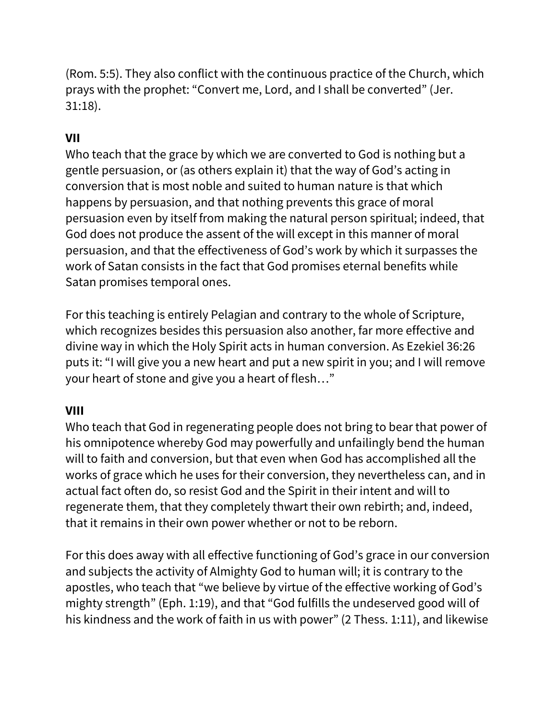(Rom. 5:5). They also conflict with the continuous practice of the Church, which prays with the prophet: "Convert me, Lord, and I shall be converted" (Jer. 31:18).

## **VII**

Who teach that the grace by which we are converted to God is nothing but a gentle persuasion, or (as others explain it) that the way of God's acting in conversion that is most noble and suited to human nature is that which happens by persuasion, and that nothing prevents this grace of moral persuasion even by itself from making the natural person spiritual; indeed, that God does not produce the assent of the will except in this manner of moral persuasion, and that the effectiveness of God's work by which it surpasses the work of Satan consists in the fact that God promises eternal benefits while Satan promises temporal ones.

For this teaching is entirely Pelagian and contrary to the whole of Scripture, which recognizes besides this persuasion also another, far more effective and divine way in which the Holy Spirit acts in human conversion. As Ezekiel 36:26 puts it: "I will give you a new heart and put a new spirit in you; and I will remove your heart of stone and give you a heart of flesh…"

#### **VIII**

Who teach that God in regenerating people does not bring to bear that power of his omnipotence whereby God may powerfully and unfailingly bend the human will to faith and conversion, but that even when God has accomplished all the works of grace which he uses for their conversion, they nevertheless can, and in actual fact often do, so resist God and the Spirit in their intent and will to regenerate them, that they completely thwart their own rebirth; and, indeed, that it remains in their own power whether or not to be reborn.

For this does away with all effective functioning of God's grace in our conversion and subjects the activity of Almighty God to human will; it is contrary to the apostles, who teach that "we believe by virtue of the effective working of God's mighty strength" (Eph. 1:19), and that "God fulfills the undeserved good will of his kindness and the work of faith in us with power" (2 Thess. 1:11), and likewise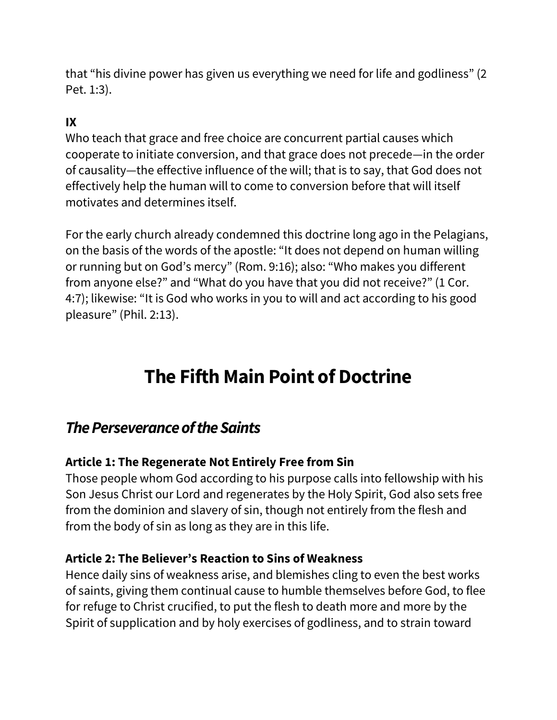that "his divine power has given us everything we need for life and godliness" (2 Pet. 1:3).

## **IX**

Who teach that grace and free choice are concurrent partial causes which cooperate to initiate conversion, and that grace does not precede—in the order of causality—the effective influence of the will; that is to say, that God does not effectively help the human will to come to conversion before that will itself motivates and determines itself.

For the early church already condemned this doctrine long ago in the Pelagians, on the basis of the words of the apostle: "It does not depend on human willing or running but on God's mercy" (Rom. 9:16); also: "Who makes you different from anyone else?" and "What do you have that you did not receive?" (1 Cor. 4:7); likewise: "It is God who works in you to will and act according to his good pleasure" (Phil. 2:13).

# **The Fifth Main Point of Doctrine**

## *The Perseverance of the Saints*

#### **Article 1: The Regenerate Not Entirely Free from Sin**

Those people whom God according to his purpose calls into fellowship with his Son Jesus Christ our Lord and regenerates by the Holy Spirit, God also sets free from the dominion and slavery of sin, though not entirely from the flesh and from the body of sin as long as they are in this life.

#### **Article 2: The Believer's Reaction to Sins of Weakness**

Hence daily sins of weakness arise, and blemishes cling to even the best works of saints, giving them continual cause to humble themselves before God, to flee for refuge to Christ crucified, to put the flesh to death more and more by the Spirit of supplication and by holy exercises of godliness, and to strain toward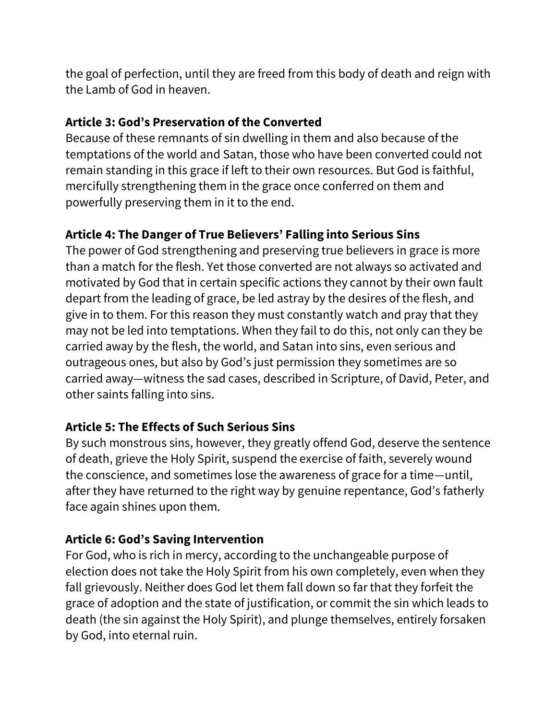the goal of perfection, until they are freed from this body of death and reign with the Lamb of God in heaven.

#### **Article 3: God's Preservation of the Converted**

Because of these remnants of sin dwelling in them and also because of the temptations of the world and Satan, those who have been converted could not remain standing in this grace if left to their own resources. But God is faithful, mercifully strengthening them in the grace once conferred on them and powerfully preserving them in it to the end.

### **Article 4: The Danger of True Believers' Falling into Serious Sins**

The power of God strengthening and preserving true believers in grace is more than a match for the flesh. Yet those converted are not always so activated and motivated by God that in certain specific actions they cannot by their own fault depart from the leading of grace, be led astray by the desires of the flesh, and give in to them. For this reason they must constantly watch and pray that they may not be led into temptations. When they fail to do this, not only can they be carried away by the flesh, the world, and Satan into sins, even serious and outrageous ones, but also by God's just permission they sometimes are so carried away—witness the sad cases, described in Scripture, of David, Peter, and other saints falling into sins.

### **Article 5: The Effects of Such Serious Sins**

By such monstrous sins, however, they greatly offend God, deserve the sentence of death, grieve the Holy Spirit, suspend the exercise of faith, severely wound the conscience, and sometimes lose the awareness of grace for a time—until, after they have returned to the right way by genuine repentance, God's fatherly face again shines upon them.

### **Article 6: God's Saving Intervention**

For God, who is rich in mercy, according to the unchangeable purpose of election does not take the Holy Spirit from his own completely, even when they fall grievously. Neither does God let them fall down so far that they forfeit the grace of adoption and the state of justification, or commit the sin which leads to death (the sin against the Holy Spirit), and plunge themselves, entirely forsaken by God, into eternal ruin.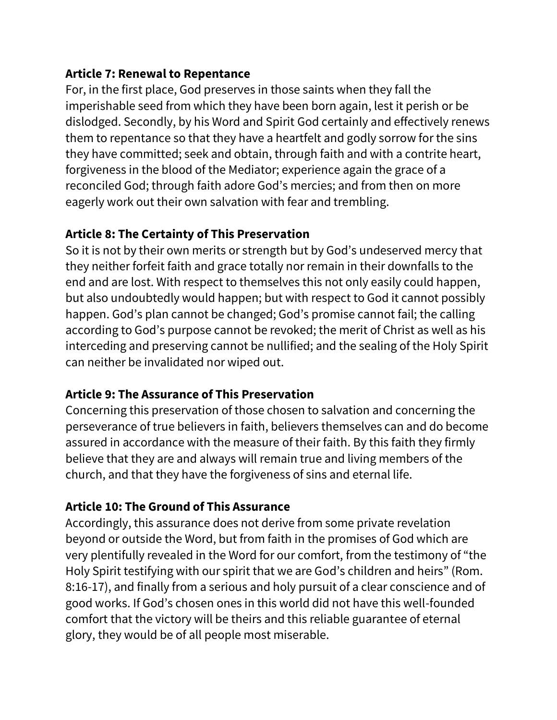#### **Article 7: Renewal to Repentance**

For, in the first place, God preserves in those saints when they fall the imperishable seed from which they have been born again, lest it perish or be dislodged. Secondly, by his Word and Spirit God certainly and effectively renews them to repentance so that they have a heartfelt and godly sorrow for the sins they have committed; seek and obtain, through faith and with a contrite heart, forgiveness in the blood of the Mediator; experience again the grace of a reconciled God; through faith adore God's mercies; and from then on more eagerly work out their own salvation with fear and trembling.

#### **Article 8: The Certainty of This Preservation**

So it is not by their own merits or strength but by God's undeserved mercy that they neither forfeit faith and grace totally nor remain in their downfalls to the end and are lost. With respect to themselves this not only easily could happen, but also undoubtedly would happen; but with respect to God it cannot possibly happen. God's plan cannot be changed; God's promise cannot fail; the calling according to God's purpose cannot be revoked; the merit of Christ as well as his interceding and preserving cannot be nullified; and the sealing of the Holy Spirit can neither be invalidated nor wiped out.

#### **Article 9: The Assurance of This Preservation**

Concerning this preservation of those chosen to salvation and concerning the perseverance of true believers in faith, believers themselves can and do become assured in accordance with the measure of their faith. By this faith they firmly believe that they are and always will remain true and living members of the church, and that they have the forgiveness of sins and eternal life.

### **Article 10: The Ground of This Assurance**

Accordingly, this assurance does not derive from some private revelation beyond or outside the Word, but from faith in the promises of God which are very plentifully revealed in the Word for our comfort, from the testimony of "the Holy Spirit testifying with our spirit that we are God's children and heirs" (Rom. 8:16-17), and finally from a serious and holy pursuit of a clear conscience and of good works. If God's chosen ones in this world did not have this well-founded comfort that the victory will be theirs and this reliable guarantee of eternal glory, they would be of all people most miserable.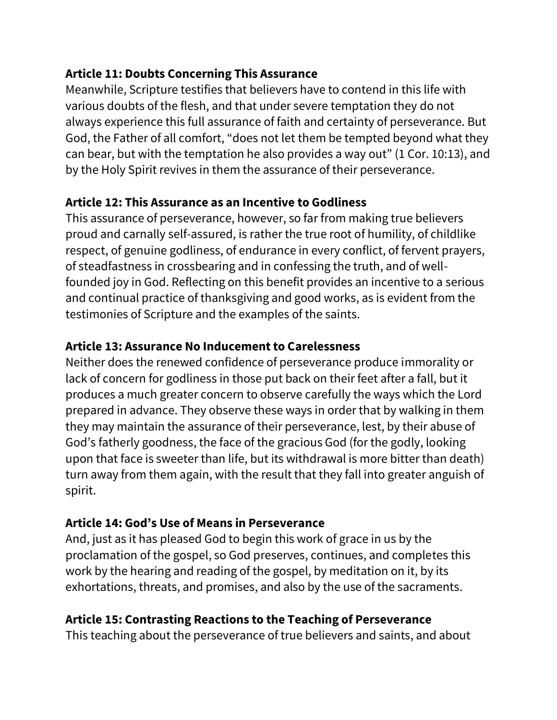#### **Article 11: Doubts Concerning This Assurance**

Meanwhile, Scripture testifies that believers have to contend in this life with various doubts of the flesh, and that under severe temptation they do not always experience this full assurance of faith and certainty of perseverance. But God, the Father of all comfort, "does not let them be tempted beyond what they can bear, but with the temptation he also provides a way out" (1 Cor. 10:13), and by the Holy Spirit revives in them the assurance of their perseverance.

#### **Article 12: This Assurance as an Incentive to Godliness**

This assurance of perseverance, however, so far from making true believers proud and carnally self-assured, is rather the true root of humility, of childlike respect, of genuine godliness, of endurance in every conflict, of fervent prayers, of steadfastness in crossbearing and in confessing the truth, and of wellfounded joy in God. Reflecting on this benefit provides an incentive to a serious and continual practice of thanksgiving and good works, as is evident from the testimonies of Scripture and the examples of the saints.

#### **Article 13: Assurance No Inducement to Carelessness**

Neither does the renewed confidence of perseverance produce immorality or lack of concern for godliness in those put back on their feet after a fall, but it produces a much greater concern to observe carefully the ways which the Lord prepared in advance. They observe these ways in order that by walking in them they may maintain the assurance of their perseverance, lest, by their abuse of God's fatherly goodness, the face of the gracious God (for the godly, looking upon that face is sweeter than life, but its withdrawal is more bitter than death) turn away from them again, with the result that they fall into greater anguish of spirit.

#### **Article 14: God's Use of Means in Perseverance**

And, just as it has pleased God to begin this work of grace in us by the proclamation of the gospel, so God preserves, continues, and completes this work by the hearing and reading of the gospel, by meditation on it, by its exhortations, threats, and promises, and also by the use of the sacraments.

#### **Article 15: Contrasting Reactions to the Teaching of Perseverance**

This teaching about the perseverance of true believers and saints, and about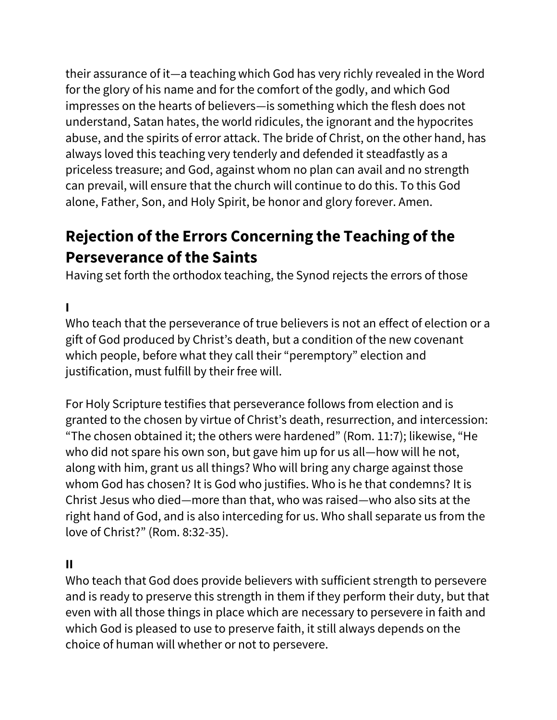their assurance of it—a teaching which God has very richly revealed in the Word for the glory of his name and for the comfort of the godly, and which God impresses on the hearts of believers—is something which the flesh does not understand, Satan hates, the world ridicules, the ignorant and the hypocrites abuse, and the spirits of error attack. The bride of Christ, on the other hand, has always loved this teaching very tenderly and defended it steadfastly as a priceless treasure; and God, against whom no plan can avail and no strength can prevail, will ensure that the church will continue to do this. To this God alone, Father, Son, and Holy Spirit, be honor and glory forever. Amen.

# **Rejection of the Errors Concerning the Teaching of the Perseverance of the Saints**

Having set forth the orthodox teaching, the Synod rejects the errors of those

**I**

Who teach that the perseverance of true believers is not an effect of election or a gift of God produced by Christ's death, but a condition of the new covenant which people, before what they call their "peremptory" election and justification, must fulfill by their free will.

For Holy Scripture testifies that perseverance follows from election and is granted to the chosen by virtue of Christ's death, resurrection, and intercession: "The chosen obtained it; the others were hardened" (Rom. 11:7); likewise, "He who did not spare his own son, but gave him up for us all—how will he not, along with him, grant us all things? Who will bring any charge against those whom God has chosen? It is God who justifies. Who is he that condemns? It is Christ Jesus who died—more than that, who was raised—who also sits at the right hand of God, and is also interceding for us. Who shall separate us from the love of Christ?" (Rom. 8:32-35).

#### **II**

Who teach that God does provide believers with sufficient strength to persevere and is ready to preserve this strength in them if they perform their duty, but that even with all those things in place which are necessary to persevere in faith and which God is pleased to use to preserve faith, it still always depends on the choice of human will whether or not to persevere.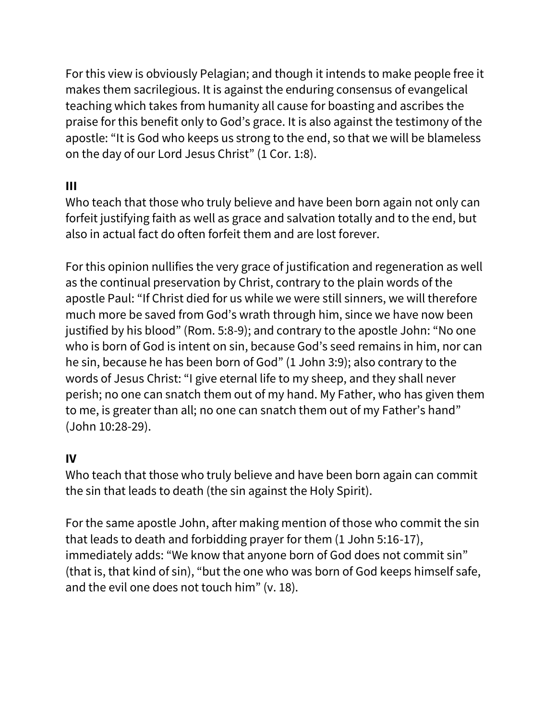For this view is obviously Pelagian; and though it intends to make people free it makes them sacrilegious. It is against the enduring consensus of evangelical teaching which takes from humanity all cause for boasting and ascribes the praise for this benefit only to God's grace. It is also against the testimony of the apostle: "It is God who keeps us strong to the end, so that we will be blameless on the day of our Lord Jesus Christ" (1 Cor. 1:8).

**III**

Who teach that those who truly believe and have been born again not only can forfeit justifying faith as well as grace and salvation totally and to the end, but also in actual fact do often forfeit them and are lost forever.

For this opinion nullifies the very grace of justification and regeneration as well as the continual preservation by Christ, contrary to the plain words of the apostle Paul: "If Christ died for us while we were still sinners, we will therefore much more be saved from God's wrath through him, since we have now been justified by his blood" (Rom. 5:8-9); and contrary to the apostle John: "No one who is born of God is intent on sin, because God's seed remains in him, nor can he sin, because he has been born of God" (1 John 3:9); also contrary to the words of Jesus Christ: "I give eternal life to my sheep, and they shall never perish; no one can snatch them out of my hand. My Father, who has given them to me, is greater than all; no one can snatch them out of my Father's hand" (John 10:28-29).

### **IV**

Who teach that those who truly believe and have been born again can commit the sin that leads to death (the sin against the Holy Spirit).

For the same apostle John, after making mention of those who commit the sin that leads to death and forbidding prayer for them (1 John 5:16-17), immediately adds: "We know that anyone born of God does not commit sin" (that is, that kind of sin), "but the one who was born of God keeps himself safe, and the evil one does not touch him" (v. 18).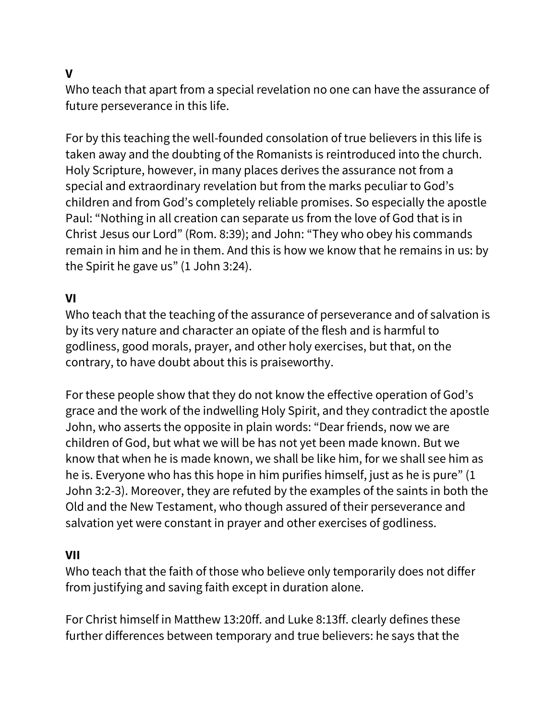## **V**

Who teach that apart from a special revelation no one can have the assurance of future perseverance in this life.

For by this teaching the well-founded consolation of true believers in this life is taken away and the doubting of the Romanists is reintroduced into the church. Holy Scripture, however, in many places derives the assurance not from a special and extraordinary revelation but from the marks peculiar to God's children and from God's completely reliable promises. So especially the apostle Paul: "Nothing in all creation can separate us from the love of God that is in Christ Jesus our Lord" (Rom. 8:39); and John: "They who obey his commands remain in him and he in them. And this is how we know that he remains in us: by the Spirit he gave us" (1 John 3:24).

#### **VI**

Who teach that the teaching of the assurance of perseverance and of salvation is by its very nature and character an opiate of the flesh and is harmful to godliness, good morals, prayer, and other holy exercises, but that, on the contrary, to have doubt about this is praiseworthy.

For these people show that they do not know the effective operation of God's grace and the work of the indwelling Holy Spirit, and they contradict the apostle John, who asserts the opposite in plain words: "Dear friends, now we are children of God, but what we will be has not yet been made known. But we know that when he is made known, we shall be like him, for we shall see him as he is. Everyone who has this hope in him purifies himself, just as he is pure" (1 John 3:2-3). Moreover, they are refuted by the examples of the saints in both the Old and the New Testament, who though assured of their perseverance and salvation yet were constant in prayer and other exercises of godliness.

#### **VII**

Who teach that the faith of those who believe only temporarily does not differ from justifying and saving faith except in duration alone.

For Christ himself in Matthew 13:20ff. and Luke 8:13ff. clearly defines these further differences between temporary and true believers: he says that the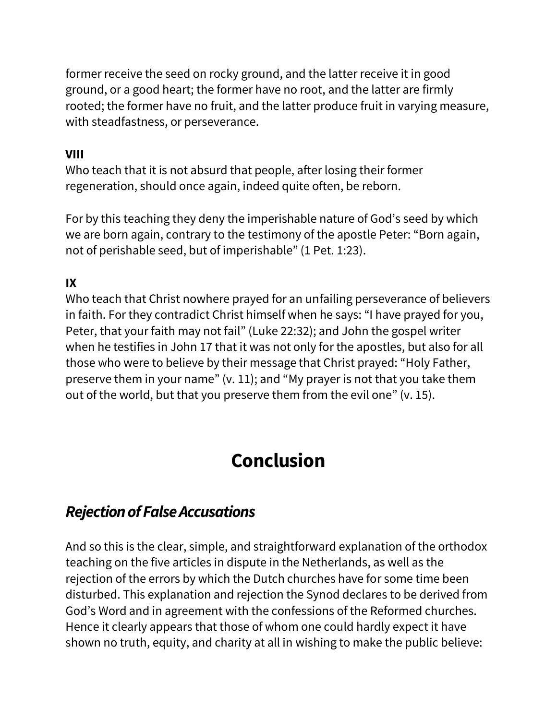former receive the seed on rocky ground, and the latter receive it in good ground, or a good heart; the former have no root, and the latter are firmly rooted; the former have no fruit, and the latter produce fruit in varying measure, with steadfastness, or perseverance.

#### **VIII**

Who teach that it is not absurd that people, after losing their former regeneration, should once again, indeed quite often, be reborn.

For by this teaching they deny the imperishable nature of God's seed by which we are born again, contrary to the testimony of the apostle Peter: "Born again, not of perishable seed, but of imperishable" (1 Pet. 1:23).

### **IX**

Who teach that Christ nowhere prayed for an unfailing perseverance of believers in faith. For they contradict Christ himself when he says: "I have prayed for you, Peter, that your faith may not fail" (Luke 22:32); and John the gospel writer when he testifies in John 17 that it was not only for the apostles, but also for all those who were to believe by their message that Christ prayed: "Holy Father, preserve them in your name" (v. 11); and "My prayer is not that you take them out of the world, but that you preserve them from the evil one" (v. 15).

# **Conclusion**

# *RejectionofFalseAccusations*

And so this is the clear, simple, and straightforward explanation of the orthodox teaching on the five articles in dispute in the Netherlands, as well as the rejection of the errors by which the Dutch churches have for some time been disturbed. This explanation and rejection the Synod declares to be derived from God's Word and in agreement with the confessions of the Reformed churches. Hence it clearly appears that those of whom one could hardly expect it have shown no truth, equity, and charity at all in wishing to make the public believe: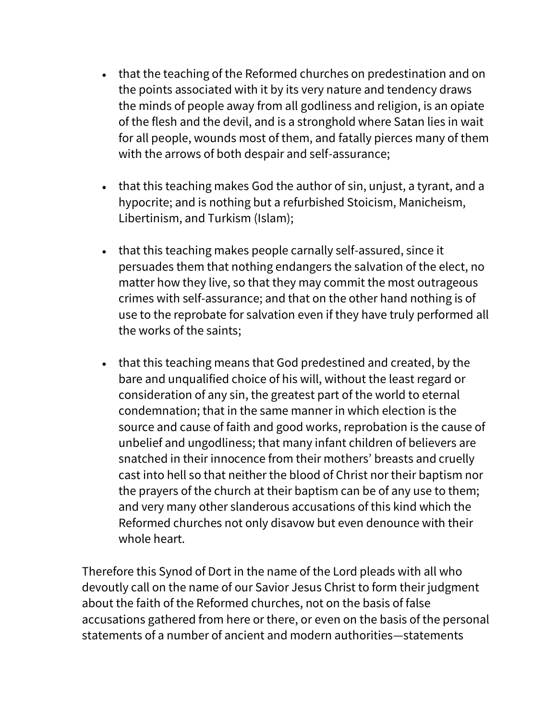- that the teaching of the Reformed churches on predestination and on the points associated with it by its very nature and tendency draws the minds of people away from all godliness and religion, is an opiate of the flesh and the devil, and is a stronghold where Satan lies in wait for all people, wounds most of them, and fatally pierces many of them with the arrows of both despair and self-assurance;
- that this teaching makes God the author of sin, unjust, a tyrant, and a hypocrite; and is nothing but a refurbished Stoicism, Manicheism, Libertinism, and Turkism (Islam);
- that this teaching makes people carnally self-assured, since it persuades them that nothing endangers the salvation of the elect, no matter how they live, so that they may commit the most outrageous crimes with self-assurance; and that on the other hand nothing is of use to the reprobate for salvation even if they have truly performed all the works of the saints;
- that this teaching means that God predestined and created, by the bare and unqualified choice of his will, without the least regard or consideration of any sin, the greatest part of the world to eternal condemnation; that in the same manner in which election is the source and cause of faith and good works, reprobation is the cause of unbelief and ungodliness; that many infant children of believers are snatched in their innocence from their mothers' breasts and cruelly cast into hell so that neither the blood of Christ nor their baptism nor the prayers of the church at their baptism can be of any use to them; and very many other slanderous accusations of this kind which the Reformed churches not only disavow but even denounce with their whole heart.

Therefore this Synod of Dort in the name of the Lord pleads with all who devoutly call on the name of our Savior Jesus Christ to form their judgment about the faith of the Reformed churches, not on the basis of false accusations gathered from here or there, or even on the basis of the personal statements of a number of ancient and modern authorities—statements